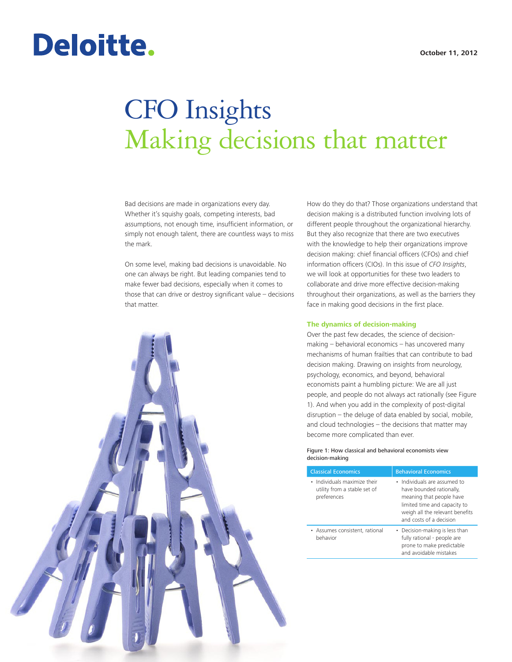# Deloitte.

# CFO Insights Making decisions that matter

Bad decisions are made in organizations every day. Whether it's squishy goals, competing interests, bad assumptions, not enough time, insufficient information, or simply not enough talent, there are countless ways to miss the mark.

On some level, making bad decisions is unavoidable. No one can always be right. But leading companies tend to make fewer bad decisions, especially when it comes to those that can drive or destroy significant value – decisions that matter.



#### **The dynamics of decision-making**

Over the past few decades, the science of decisionmaking – behavioral economics – has uncovered many mechanisms of human frailties that can contribute to bad decision making. Drawing on insights from neurology, psychology, economics, and beyond, behavioral economists paint a humbling picture: We are all just people, and people do not always act rationally (see Figure 1). And when you add in the complexity of post-digital disruption – the deluge of data enabled by social, mobile, and cloud technologies – the decisions that matter may become more complicated than ever.

Figure 1: How classical and behavioral economists view decision-making

| <b>Classical Economics</b>                                                  | <b>Behavioral Economics</b>                                                                                                                                                        |
|-----------------------------------------------------------------------------|------------------------------------------------------------------------------------------------------------------------------------------------------------------------------------|
| • Individuals maximize their<br>utility from a stable set of<br>preferences | • Individuals are assumed to<br>have bounded rationally,<br>meaning that people have<br>limited time and capacity to<br>weigh all the relevant benefits<br>and costs of a decision |
| • Assumes consistent, rational<br>behavior                                  | • Decision-making is less than<br>fully rational - people are<br>prone to make predictable<br>and avoidable mistakes                                                               |

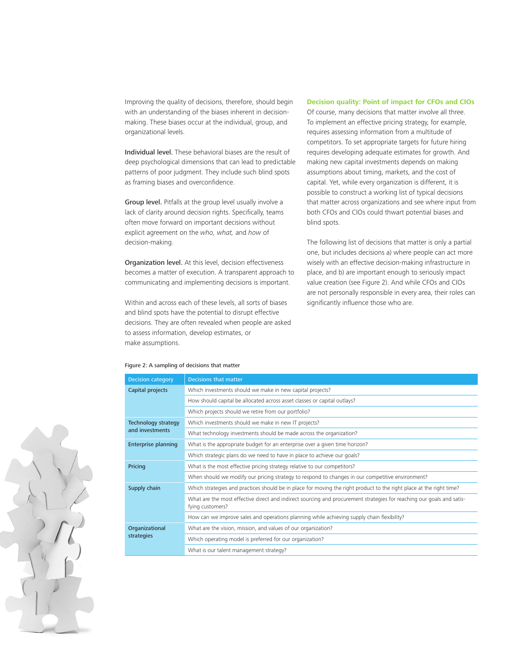Improving the quality of decisions, therefore, should begin with an understanding of the biases inherent in decisionmaking. These biases occur at the individual, group, and organizational levels.

Individual level. These behavioral biases are the result of deep psychological dimensions that can lead to predictable patterns of poor judgment. They include such blind spots as framing biases and overconfidence.

Group level. Pitfalls at the group level usually involve a lack of clarity around decision rights. Specifically, teams often move forward on important decisions without explicit agreement on the *who, what,* and *how* of decision-making.

Organization level. At this level, decision effectiveness becomes a matter of execution. A transparent approach to communicating and implementing decisions is important.

Within and across each of these levels, all sorts of biases and blind spots have the potential to disrupt effective decisions. They are often revealed when people are asked to assess information, develop estimates, or make assumptions.

# **Decision quality: Point of impact for CFOs and CIOs**

Of course, many decisions that matter involve all three. To implement an effective pricing strategy, for example, requires assessing information from a multitude of competitors. To set appropriate targets for future hiring requires developing adequate estimates for growth. And making new capital investments depends on making assumptions about timing, markets, and the cost of capital. Yet, while every organization is different, it is possible to construct a working list of typical decisions that matter across organizations and see where input from both CFOs and CIOs could thwart potential biases and blind spots.

The following list of decisions that matter is only a partial one, but includes decisions a) where people can act more wisely with an effective decision-making infrastructure in place, and b) are important enough to seriously impact value creation (see Figure 2). And while CFOs and CIOs are not personally responsible in every area, their roles can significantly influence those who are.

| <b>Decision category</b>     | <b>Decisions that matter</b>                                                                                                              |
|------------------------------|-------------------------------------------------------------------------------------------------------------------------------------------|
| Capital projects             | Which investments should we make in new capital projects?                                                                                 |
|                              | How should capital be allocated across asset classes or capital outlays?                                                                  |
|                              | Which projects should we retire from our portfolio?                                                                                       |
| <b>Technology strategy</b>   | Which investments should we make in new IT projects?                                                                                      |
| and investments              | What technology investments should be made across the organization?                                                                       |
| <b>Enterprise planning</b>   | What is the appropriate budget for an enterprise over a given time horizon?                                                               |
|                              | Which strategic plans do we need to have in place to achieve our goals?                                                                   |
| Pricing                      | What is the most effective pricing strategy relative to our competitors?                                                                  |
|                              | When should we modify our pricing strategy to respond to changes in our competitive environment?                                          |
| Supply chain                 | Which strategies and practices should be in place for moving the right product to the right place at the right time?                      |
|                              | What are the most effective direct and indirect sourcing and procurement strategies for reaching our goals and satis-<br>fying customers? |
|                              | How can we improve sales and operations planning while achieving supply chain flexibility?                                                |
| Organizational<br>strategies | What are the vision, mission, and values of our organization?                                                                             |
|                              | Which operating model is preferred for our organization?                                                                                  |
|                              | What is our talent management strategy?                                                                                                   |



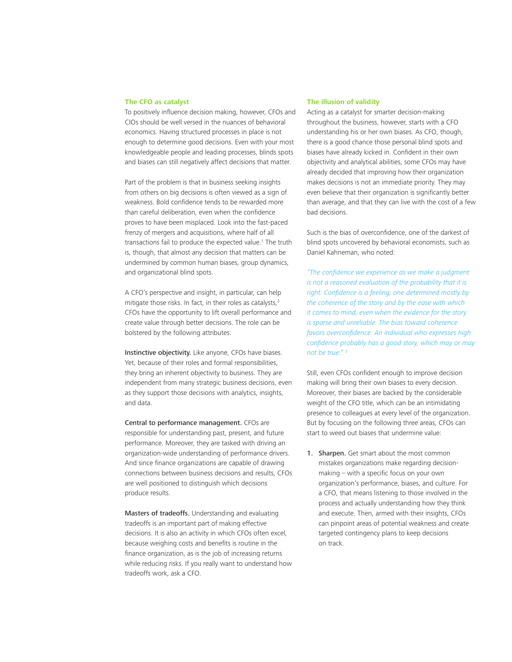## **The CFO as catalyst**

To positively influence decision making, however, CFOs and CIOs should be well versed in the nuances of behavioral economics. Having structured processes in place is not enough to determine good decisions. Even with your most knowledgeable people and leading processes, blinds spots and biases can still negatively affect decisions that matter.

Part of the problem is that in business seeking insights from others on big decisions is often viewed as a sign of weakness. Bold confidence tends to be rewarded more than careful deliberation, even when the confidence proves to have been misplaced. Look into the fast-paced frenzy of mergers and acquisitions, where half of all transactions fail to produce the expected value.<sup>1</sup> The truth is, though, that almost any decision that matters can be undermined by common human biases, group dynamics, and organizational blind spots.

A CFO's perspective and insight, in particular, can help mitigate those risks. In fact, in their roles as catalysts,<sup>2</sup> CFOs have the opportunity to lift overall performance and create value through better decisions. The role can be bolstered by the following attributes:

Instinctive objectivity. Like anyone, CFOs have biases. Yet, because of their roles and formal responsibilities, they bring an inherent objectivity to business. They are independent from many strategic business decisions, even as they support those decisions with analytics, insights, and data.

Central to performance management. CFOs are responsible for understanding past, present, and future performance. Moreover, they are tasked with driving an organization-wide understanding of performance drivers. And since finance organizations are capable of drawing connections between business decisions and results, CFOs are well positioned to distinguish which decisions produce results.

Masters of tradeoffs. Understanding and evaluating tradeoffs is an important part of making effective decisions. It is also an activity in which CFOs often excel, because weighing costs and benefits is routine in the finance organization, as is the job of increasing returns while reducing risks. If you really want to understand how tradeoffs work, ask a CFO.

# **The illusion of validity**

Acting as a catalyst for smarter decision-making throughout the business, however, starts with a CFO understanding his or her own biases. As CFO, though, there is a good chance those personal blind spots and biases have already kicked in. Confident in their own objectivity and analytical abilities, some CFOs may have already decided that improving how their organization makes decisions is not an immediate priority. They may even believe that their organization is significantly better than average, and that they can live with the cost of a few bad decisions.

Such is the bias of overconfidence, one of the darkest of blind spots uncovered by behavioral economists, such as Daniel Kahneman, who noted:

*"The confidence we experience as we make a judgment is not a reasoned evaluation of the probability that it is right. Confidence is a feeling, one determined mostly by the coherence of the story and by the ease with which it comes to mind, even when the evidence for the story is sparse and unreliable. The bias toward coherence favors overconfidence. An individual who expresses high confidence probably has a good story, which may or may not be true." 3*

Still, even CFOs confident enough to improve decision making will bring their own biases to every decision. Moreover, their biases are backed by the considerable weight of the CFO title, which can be an intimidating presence to colleagues at every level of the organization. But by focusing on the following three areas, CFOs can start to weed out biases that undermine value:

1. Sharpen. Get smart about the most common mistakes organizations make regarding decisionmaking – with a specific focus on your own organization's performance, biases, and culture. For a CFO, that means listening to those involved in the process and actually understanding how they think and execute. Then, armed with their insights, CFOs can pinpoint areas of potential weakness and create targeted contingency plans to keep decisions on track.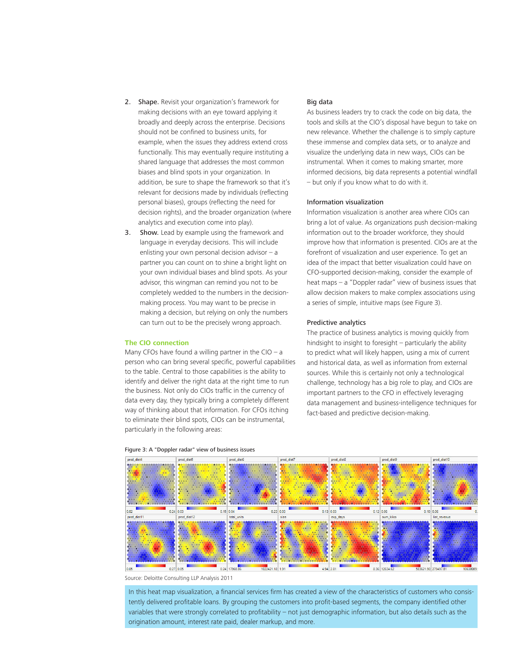- 2. Shape. Revisit your organization's framework for making decisions with an eye toward applying it broadly and deeply across the enterprise. Decisions should not be confined to business units, for example, when the issues they address extend cross functionally. This may eventually require instituting a shared language that addresses the most common biases and blind spots in your organization. In addition, be sure to shape the framework so that it's relevant for decisions made by individuals (reflecting personal biases), groups (reflecting the need for decision rights), and the broader organization (where analytics and execution come into play).
- **3.** Show. Lead by example using the framework and language in everyday decisions. This will include enlisting your own personal decision advisor  $-$  a partner you can count on to shine a bright light on your own individual biases and blind spots. As your advisor, this wingman can remind you not to be completely wedded to the numbers in the decisionmaking process. You may want to be precise in making a decision, but relying on only the numbers can turn out to be the precisely wrong approach.

# **The CIO connection**

Many CFOs have found a willing partner in the CIO – a person who can bring several specific, powerful capabilities to the table. Central to those capabilities is the ability to identify and deliver the right data at the right time to run the business. Not only do CIOs traffic in the currency of data every day, they typically bring a completely different way of thinking about that information. For CFOs itching to eliminate their blind spots, CIOs can be instrumental, particularly in the following areas:

# Big data

As business leaders try to crack the code on big data, the tools and skills at the CIO's disposal have begun to take on new relevance. Whether the challenge is to simply capture these immense and complex data sets, or to analyze and visualize the underlying data in new ways, CIOs can be instrumental. When it comes to making smarter, more informed decisions, big data represents a potential windfall – but only if you know what to do with it.

# Information visualization

Information visualization is another area where CIOs can bring a lot of value. As organizations push decision-making information out to the broader workforce, they should improve how that information is presented. CIOs are at the forefront of visualization and user experience. To get an idea of the impact that better visualization could have on CFO-supported decision-making, consider the example of heat maps – a "Doppler radar" view of business issues that allow decision makers to make complex associations using a series of simple, intuitive maps (see Figure 3).

#### Predictive analytics

The practice of business analytics is moving quickly from hindsight to insight to foresight – particularly the ability to predict what will likely happen, using a mix of current and historical data, as well as information from external sources. While this is certainly not only a technological challenge, technology has a big role to play, and CIOs are important partners to the CFO in effectively leveraging data management and business-intelligence techniques for fact-based and predictive decision-making.



#### Figure 3: A "Doppler radar" view of business issues

Source: Deloitte Consulting LLP Analysis 2011

In this heat map visualization, a financial services firm has created a view of the characteristics of customers who consistently delivered profitable loans. By grouping the customers into profit-based segments, the company identified other variables that were strongly correlated to profitability – not just demographic information, but also details such as the origination amount, interest rate paid, dealer markup, and more.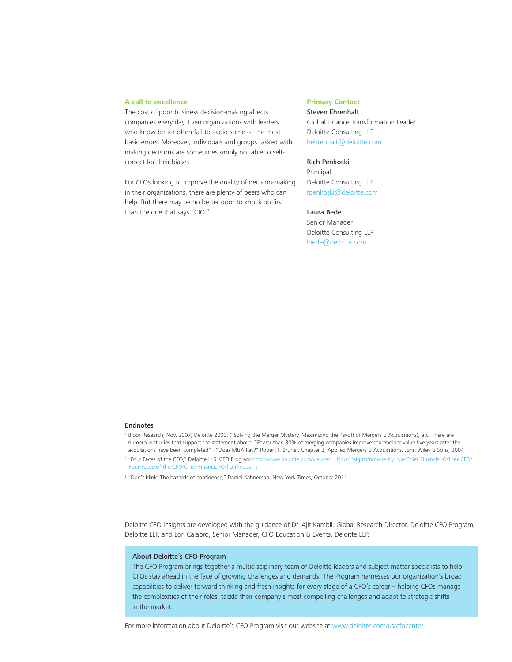#### **A call to excellence**

The cost of poor business decision-making affects companies every day. Even organizations with leaders who know better often fail to avoid some of the most basic errors. Moreover, individuals and groups tasked with making decisions are sometimes simply not able to selfcorrect for their biases.

For CFOs looking to improve the quality of decision-making in their organizations, there are plenty of peers who can help. But there may be no better door to knock on first than the one that says "CIO."

# **Primary Contact**

Steven Ehrenhalt Global Finance Transformation Leader Deloitte Consulting LLP hehrenhalt@deloitte.com

# Rich Penkoski

Principal Deloitte Consulting LLP rpenkoski@deloitte.com

# Laura Bede

Senior Manager Deloitte Consulting LLP lbede@deloitte.com

#### Endnotes

- 1 Bloor Research, Nov. 2007; Deloitte 2000: ("Solving the Merger Mystery, Maximizing the Payoff of Mergers & Acquisitions), etc. There are numerous studies that support the statement above. "Fewer than 30% of merging companies improve shareholder value five years after the acquisitions have been completed" - "Does M&A Pay?" Robert F. Bruner, Chapter 3, Applied Mergers & Acquisitions, John Wiley & Sons, 2004
- 2 "Four Faces of the CFO," Deloitte U.S. CFO Program [http://www.deloitte.com/view/en\\_US/us/Insights/browse-by-role/Chief-Financial-Officer-CFO/](http://www.deloitte.com/view/en_US/us/Insights/browse-by-role/Chief-Financial-Officer-CFO/Four-Faces-of-the-CFO-Chief-Financial-Officer/index.ht) [Four-Faces-of-the-CFO-Chief-Financial-Officer/index.ht](http://www.deloitte.com/view/en_US/us/Insights/browse-by-role/Chief-Financial-Officer-CFO/Four-Faces-of-the-CFO-Chief-Financial-Officer/index.ht)
- <sup>3</sup> "Don't blink: The hazards of confidence," Daniel Kahneman, New York Times, October 2011

Deloitte CFO Insights are developed with the guidance of Dr. Ajit Kambil, Global Research Director, Deloitte CFO Program, Deloitte LLP, and Lori Calabro, Senior Manager, CFO Education & Events, Deloitte LLP.

# About Deloitte's CFO Program

The CFO Program brings together a multidisciplinary team of Deloitte leaders and subject matter specialists to help CFOs stay ahead in the face of growing challenges and demands. The Program harnesses our organization's broad capabilities to deliver forward thinking and fresh insights for every stage of a CFO's career – helping CFOs manage the complexities of their roles, tackle their company's most compelling challenges and adapt to strategic shifts in the market.

For more information about Deloitte's CFO Program visit our website at www.deloitte.com/us/cfocenter.